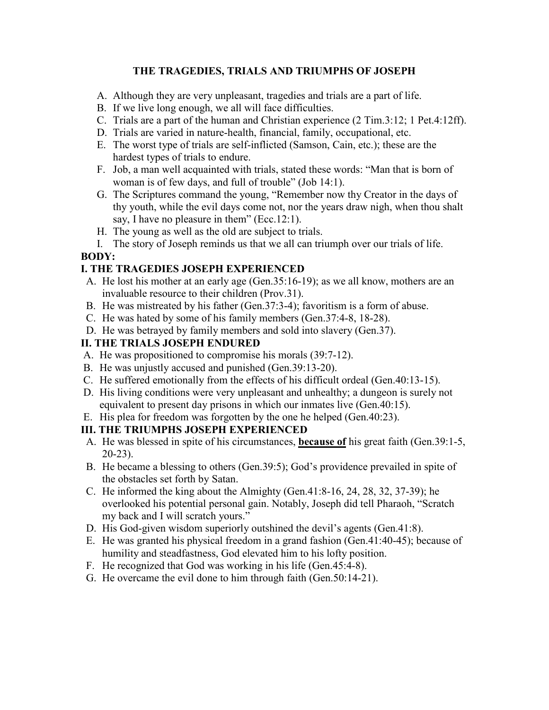### **THE TRAGEDIES, TRIALS AND TRIUMPHS OF JOSEPH**

- A. Although they are very unpleasant, tragedies and trials are a part of life.
- B. If we live long enough, we all will face difficulties.
- C. Trials are a part of the human and Christian experience (2 Tim.3:12; 1 Pet.4:12ff).
- D. Trials are varied in nature-health, financial, family, occupational, etc.
- E. The worst type of trials are self-inflicted (Samson, Cain, etc.); these are the hardest types of trials to endure.
- F. Job, a man well acquainted with trials, stated these words: "Man that is born of woman is of few days, and full of trouble" (Job 14:1).
- G. The Scriptures command the young, "Remember now thy Creator in the days of thy youth, while the evil days come not, nor the years draw nigh, when thou shalt say, I have no pleasure in them" (Ecc.12:1).
- H. The young as well as the old are subject to trials.

I. The story of Joseph reminds us that we all can triumph over our trials of life. **BODY:** 

# **I. THE TRAGEDIES JOSEPH EXPERIENCED**

- A. He lost his mother at an early age (Gen.35:16-19); as we all know, mothers are an invaluable resource to their children (Prov.31).
- B. He was mistreated by his father (Gen.37:3-4); favoritism is a form of abuse.
- C. He was hated by some of his family members (Gen.37:4-8, 18-28).
- D. He was betrayed by family members and sold into slavery (Gen.37).

## **II. THE TRIALS JOSEPH ENDURED**

- A. He was propositioned to compromise his morals (39:7-12).
- B. He was unjustly accused and punished (Gen.39:13-20).
- C. He suffered emotionally from the effects of his difficult ordeal (Gen.40:13-15).
- D. His living conditions were very unpleasant and unhealthy; a dungeon is surely not equivalent to present day prisons in which our inmates live (Gen.40:15).
- E. His plea for freedom was forgotten by the one he helped (Gen.40:23).

## **III. THE TRIUMPHS JOSEPH EXPERIENCED**

- A. He was blessed in spite of his circumstances, **because of** his great faith (Gen.39:1-5, 20-23).
- B. He became a blessing to others (Gen.39:5); God's providence prevailed in spite of the obstacles set forth by Satan.
- C. He informed the king about the Almighty (Gen.41:8-16, 24, 28, 32, 37-39); he overlooked his potential personal gain. Notably, Joseph did tell Pharaoh, "Scratch my back and I will scratch yours."
- D. His God-given wisdom superiorly outshined the devil's agents (Gen.41:8).
- E. He was granted his physical freedom in a grand fashion (Gen.41:40-45); because of humility and steadfastness, God elevated him to his lofty position.
- F. He recognized that God was working in his life (Gen.45:4-8).
- G. He overcame the evil done to him through faith (Gen.50:14-21).